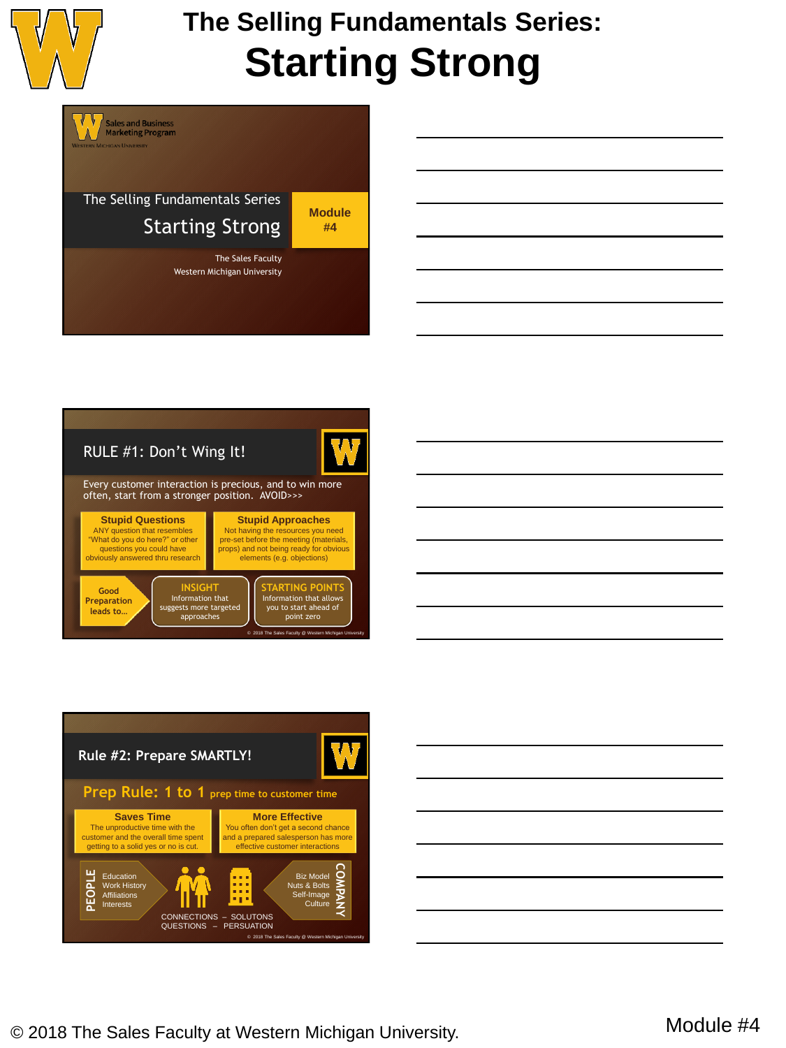

V

Sales and Business<br>Marketing Program

## **The Selling Fundamentals Series: Starting Strong**

The Selling Fundamentals Series Starting Strong

The Sales Faculty

**Module #4**

Western Michigan University